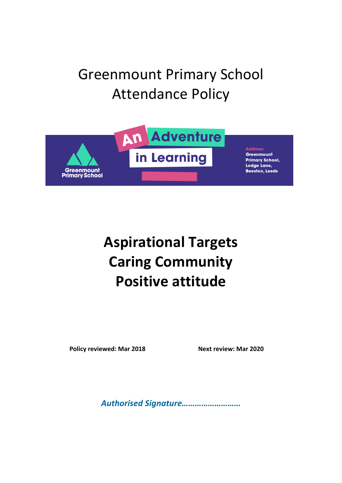# Greenmount Primary School Attendance Policy



# **Aspirational Targets Caring Community Positive attitude**

**Policy reviewed: Mar 2018 Next review: Mar 2020** 

*Authorised Signature………………………*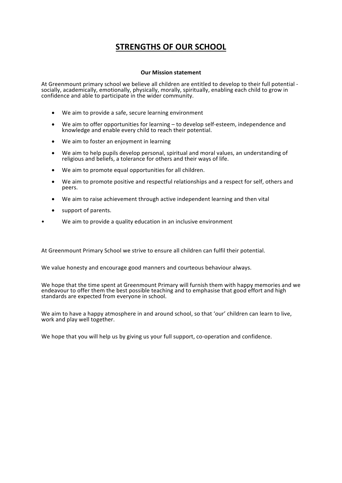# **STRENGTHS OF OUR SCHOOL**

#### **Our Mission statement**

At Greenmount primary school we believe all children are entitled to develop to their full potential - socially, academically, emotionally, physically, morally, spiritually, enabling each child to grow in confidence and able to participate in the wider community.

- We aim to provide a safe, secure learning environment
- We aim to offer opportunities for learning to develop self-esteem, independence and knowledge and enable every child to reach their potential.
- We aim to foster an enjoyment in learning
- We aim to help pupils develop personal, spiritual and moral values, an understanding of religious and beliefs, a tolerance for others and their ways of life.
- We aim to promote equal opportunities for all children.
- We aim to promote positive and respectful relationships and a respect for self, others and peers.
- We aim to raise achievement through active independent learning and then vital
- support of parents.
- We aim to provide a quality education in an inclusive environment

At Greenmount Primary School we strive to ensure all children can fulfil their potential.

We value honesty and encourage good manners and courteous behaviour always.

We hope that the time spent at Greenmount Primary will furnish them with happy memories and we endeavour to offer them the best possible teaching and to emphasise that good effort and high standards are expected from everyone in school.

We aim to have a happy atmosphere in and around school, so that 'our' children can learn to live, work and play well together.

We hope that you will help us by giving us your full support, co-operation and confidence.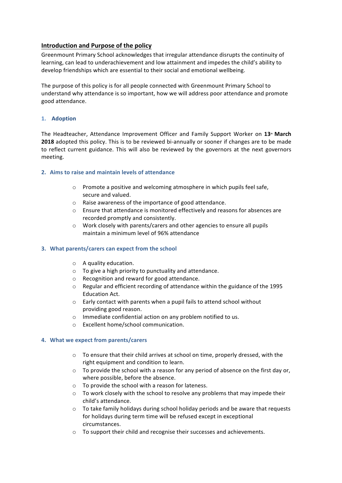# **Introduction and Purpose of the policy**

Greenmount Primary School acknowledges that irregular attendance disrupts the continuity of learning, can lead to underachievement and low attainment and impedes the child's ability to develop friendships which are essential to their social and emotional wellbeing.

The purpose of this policy is for all people connected with Greenmount Primary School to understand why attendance is so important, how we will address poor attendance and promote good attendance. 

# **1. Adoption**

The Headteacher, Attendance Improvement Officer and Family Support Worker on 13<sup>th</sup> March **2018** adopted this policy. This is to be reviewed bi-annually or sooner if changes are to be made to reflect current guidance. This will also be reviewed by the governors at the next governors meeting.

# **2. Aims to raise and maintain levels of attendance**

- $\circ$  Promote a positive and welcoming atmosphere in which pupils feel safe, secure and valued.
- $\circ$  Raise awareness of the importance of good attendance.
- $\circ$  Ensure that attendance is monitored effectively and reasons for absences are recorded promptly and consistently.
- $\circ$  Work closely with parents/carers and other agencies to ensure all pupils maintain a minimum level of 96% attendance

# **3.** What parents/carers can expect from the school

- $\circ$  A quality education.
- $\circ$  To give a high priority to punctuality and attendance.
- $\circ$  Recognition and reward for good attendance.
- $\circ$  Regular and efficient recording of attendance within the guidance of the 1995 Education Act.
- $\circ$  Early contact with parents when a pupil fails to attend school without providing good reason.
- $\circ$  Immediate confidential action on any problem notified to us.
- o Excellent home/school communication.

# **4.** What we expect from parents/carers

- $\circ$  To ensure that their child arrives at school on time, properly dressed, with the right equipment and condition to learn.
- $\circ$  To provide the school with a reason for any period of absence on the first day or, where possible, before the absence.
- $\circ$  To provide the school with a reason for lateness.
- $\circ$  To work closely with the school to resolve any problems that may impede their child's attendance.
- $\circ$  To take family holidays during school holiday periods and be aware that requests for holidays during term time will be refused except in exceptional circumstances.
- $\circ$  To support their child and recognise their successes and achievements.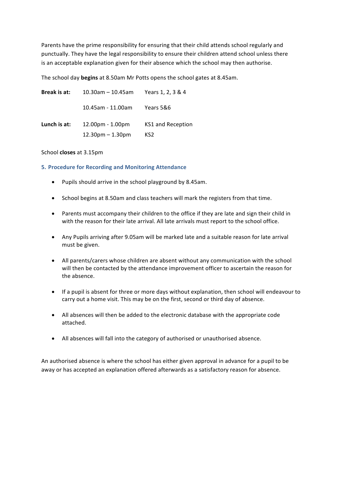Parents have the prime responsibility for ensuring that their child attends school regularly and punctually. They have the legal responsibility to ensure their children attend school unless there is an acceptable explanation given for their absence which the school may then authorise.

The school day **begins** at 8.50am Mr Potts opens the school gates at 8.45am.

| Break is at: | 10.30am – 10.45am  | Years 1, 2, 3 & 4 |
|--------------|--------------------|-------------------|
|              | 10.45am - 11.00am  | Years 5&6         |
| Lunch is at: | $12.00pm - 1.00pm$ | KS1 and Reception |
|              | $12.30pm - 1.30pm$ | KS <sub>2</sub>   |

### School **closes** at 3.15pm

# **5. Procedure for Recording and Monitoring Attendance**

- Pupils should arrive in the school playground by 8.45am.
- School begins at 8.50am and class teachers will mark the registers from that time.
- Parents must accompany their children to the office if they are late and sign their child in with the reason for their late arrival. All late arrivals must report to the school office.
- Any Pupils arriving after 9.05am will be marked late and a suitable reason for late arrival must be given.
- All parents/carers whose children are absent without any communication with the school will then be contacted by the attendance improvement officer to ascertain the reason for the absence.
- If a pupil is absent for three or more days without explanation, then school will endeavour to carry out a home visit. This may be on the first, second or third day of absence.
- All absences will then be added to the electronic database with the appropriate code attached.
- All absences will fall into the category of authorised or unauthorised absence.

An authorised absence is where the school has either given approval in advance for a pupil to be away or has accepted an explanation offered afterwards as a satisfactory reason for absence.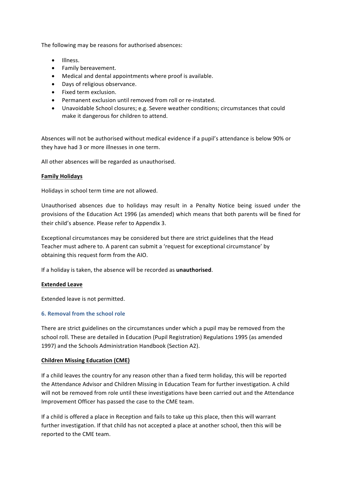The following may be reasons for authorised absences:

- Illness.
- Family bereavement.
- Medical and dental appointments where proof is available.
- Days of religious observance.
- Fixed term exclusion.
- Permanent exclusion until removed from roll or re-instated.
- Unavoidable School closures; e.g. Severe weather conditions; circumstances that could make it dangerous for children to attend.

Absences will not be authorised without medical evidence if a pupil's attendance is below 90% or they have had 3 or more illnesses in one term.

All other absences will be regarded as unauthorised.

## **Family Holidays**

Holidays in school term time are not allowed.

Unauthorised absences due to holidays may result in a Penalty Notice being issued under the provisions of the Education Act 1996 (as amended) which means that both parents will be fined for their child's absence. Please refer to Appendix 3.

Exceptional circumstances may be considered but there are strict guidelines that the Head Teacher must adhere to. A parent can submit a 'request for exceptional circumstance' by obtaining this request form from the AIO.

If a holiday is taken, the absence will be recorded as **unauthorised**.

#### **Extended Leave**

Extended leave is not permitted.

# **6. Removal from the school role**

There are strict guidelines on the circumstances under which a pupil may be removed from the school roll. These are detailed in Education (Pupil Registration) Regulations 1995 (as amended 1997) and the Schools Administration Handbook (Section A2).

#### **Children Missing Education (CME)**

If a child leaves the country for any reason other than a fixed term holiday, this will be reported the Attendance Advisor and Children Missing in Education Team for further investigation. A child will not be removed from role until these investigations have been carried out and the Attendance Improvement Officer has passed the case to the CME team.

If a child is offered a place in Reception and fails to take up this place, then this will warrant further investigation. If that child has not accepted a place at another school, then this will be reported to the CME team.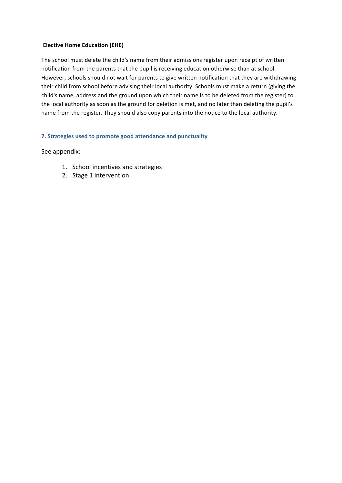# **Elective Home Education (EHE)**

The school must delete the child's name from their admissions register upon receipt of written notification from the parents that the pupil is receiving education otherwise than at school. However, schools should not wait for parents to give written notification that they are withdrawing their child from school before advising their local authority. Schools must make a return (giving the child's name, address and the ground upon which their name is to be deleted from the register) to the local authority as soon as the ground for deletion is met, and no later than deleting the pupil's name from the register. They should also copy parents into the notice to the local authority.

# **7.** Strategies used to promote good attendance and punctuality

See appendix:

- 1. School incentives and strategies
- 2. Stage 1 intervention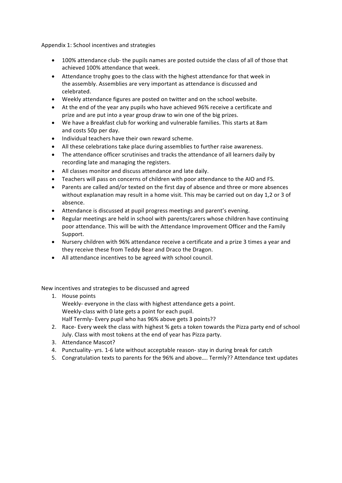Appendix 1: School incentives and strategies

- 100% attendance club- the pupils names are posted outside the class of all of those that achieved 100% attendance that week.
- Attendance trophy goes to the class with the highest attendance for that week in the assembly. Assemblies are very important as attendance is discussed and celebrated.
- Weekly attendance figures are posted on twitter and on the school website.
- At the end of the year any pupils who have achieved 96% receive a certificate and prize and are put into a year group draw to win one of the big prizes.
- We have a Breakfast club for working and vulnerable families. This starts at 8am and costs 50p per day.
- Individual teachers have their own reward scheme.
- All these celebrations take place during assemblies to further raise awareness.
- The attendance officer scrutinises and tracks the attendance of all learners daily by recording late and managing the registers.
- All classes monitor and discuss attendance and late daily.
- Teachers will pass on concerns of children with poor attendance to the AIO and FS.
- Parents are called and/or texted on the first day of absence and three or more absences without explanation may result in a home visit. This may be carried out on day 1,2 or 3 of absence.
- Attendance is discussed at pupil progress meetings and parent's evening.
- Regular meetings are held in school with parents/carers whose children have continuing poor attendance. This will be with the Attendance Improvement Officer and the Family Support.
- Nursery children with 96% attendance receive a certificate and a prize 3 times a year and they receive these from Teddy Bear and Draco the Dragon.
- All attendance incentives to be agreed with school council.

New incentives and strategies to be discussed and agreed

- 1. House points Weekly- everyone in the class with highest attendance gets a point. Weekly-class with 0 late gets a point for each pupil. Half Termly- Every pupil who has 96% above gets 3 points??
- 2. Race- Every week the class with highest % gets a token towards the Pizza party end of school July. Class with most tokens at the end of year has Pizza party.
- 3. Attendance Mascot?
- 4. Punctuality- yrs. 1-6 late without acceptable reason- stay in during break for catch
- 5. Congratulation texts to parents for the 96% and above.... Termly?? Attendance text updates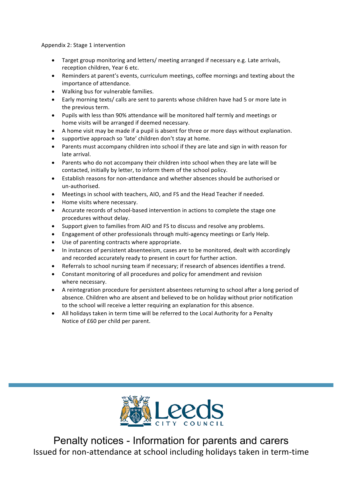Appendix 2: Stage 1 intervention

- Target group monitoring and letters/ meeting arranged if necessary e.g. Late arrivals, reception children, Year 6 etc.
- Reminders at parent's events, curriculum meetings, coffee mornings and texting about the importance of attendance.
- Walking bus for vulnerable families.
- Early morning texts/ calls are sent to parents whose children have had 5 or more late in the previous term.
- Pupils with less than 90% attendance will be monitored half termly and meetings or home visits will be arranged if deemed necessary.
- A home visit may be made if a pupil is absent for three or more days without explanation.
- supportive approach so 'late' children don't stay at home.
- Parents must accompany children into school if they are late and sign in with reason for late arrival.
- Parents who do not accompany their children into school when they are late will be contacted, initially by letter, to inform them of the school policy.
- Establish reasons for non-attendance and whether absences should be authorised or un-authorised.
- Meetings in school with teachers, AIO, and FS and the Head Teacher if needed.
- Home visits where necessary.
- Accurate records of school-based intervention in actions to complete the stage one procedures without delay.
- Support given to families from AIO and FS to discuss and resolve any problems.
- Engagement of other professionals through multi-agency meetings or Early Help.
- Use of parenting contracts where appropriate.
- In instances of persistent absenteeism, cases are to be monitored, dealt with accordingly and recorded accurately ready to present in court for further action.
- Referrals to school nursing team if necessary; if research of absences identifies a trend.
- Constant monitoring of all procedures and policy for amendment and revision where necessary.
- A reintegration procedure for persistent absentees returning to school after a long period of absence. Children who are absent and believed to be on holiday without prior notification to the school will receive a letter requiring an explanation for this absence.
- All holidays taken in term time will be referred to the Local Authority for a Penalty Notice of £60 per child per parent.



Penalty notices - Information for parents and carers Issued for non-attendance at school including holidays taken in term-time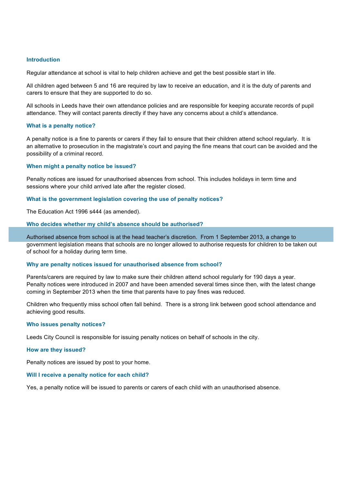#### **Introduction**

Regular attendance at school is vital to help children achieve and get the best possible start in life.

All children aged between 5 and 16 are required by law to receive an education, and it is the duty of parents and carers to ensure that they are supported to do so.

All schools in Leeds have their own attendance policies and are responsible for keeping accurate records of pupil attendance. They will contact parents directly if they have any concerns about a child's attendance.

### **What is a penalty notice?**

A penalty notice is a fine to parents or carers if they fail to ensure that their children attend school regularly. It is an alternative to prosecution in the magistrate's court and paying the fine means that court can be avoided and the possibility of a criminal record.

#### **When might a penalty notice be issued?**

Penalty notices are issued for unauthorised absences from school. This includes holidays in term time and sessions where your child arrived late after the register closed.

#### **What is the government legislation covering the use of penalty notices?**

The Education Act 1996 s444 (as amended).

#### **Who decides whether my child's absence should be authorised?**

Authorised absence from school is at the head teacher's discretion. From 1 September 2013, a change to government legislation means that schools are no longer allowed to authorise requests for children to be taken out of school for a holiday during term time.

#### **Why are penalty notices issued for unauthorised absence from school?**

Parents/carers are required by law to make sure their children attend school regularly for 190 days a year. Penalty notices were introduced in 2007 and have been amended several times since then, with the latest change coming in September 2013 when the time that parents have to pay fines was reduced.

Children who frequently miss school often fall behind. There is a strong link between good school attendance and achieving good results.

#### **Who issues penalty notices?**

Leeds City Council is responsible for issuing penalty notices on behalf of schools in the city.

#### **How are they issued?**

Penalty notices are issued by post to your home.

#### **Will I receive a penalty notice for each child?**

Yes, a penalty notice will be issued to parents or carers of each child with an unauthorised absence.